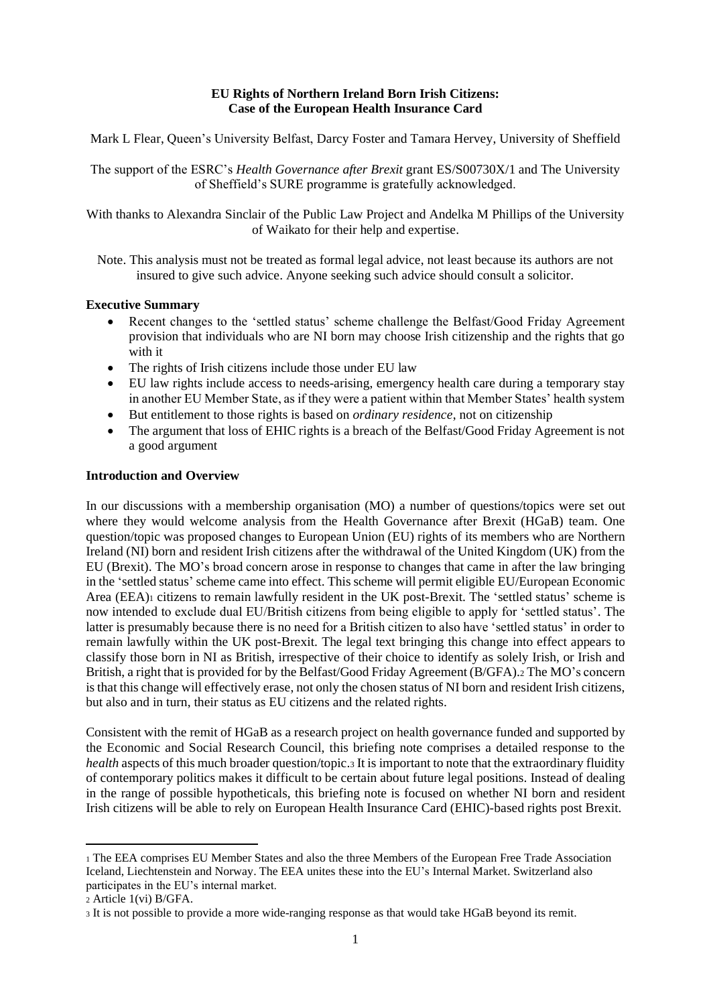### **EU Rights of Northern Ireland Born Irish Citizens: Case of the European Health Insurance Card**

Mark L Flear, Queen's University Belfast, Darcy Foster and Tamara Hervey, University of Sheffield

The support of the ESRC's *Health Governance after Brexit* grant ES/S00730X/1 and The University of Sheffield's SURE programme is gratefully acknowledged.

With thanks to Alexandra Sinclair of the Public Law Project and Andelka M Phillips of the University of Waikato for their help and expertise.

Note. This analysis must not be treated as formal legal advice, not least because its authors are not insured to give such advice. Anyone seeking such advice should consult a solicitor.

## **Executive Summary**

- Recent changes to the 'settled status' scheme challenge the Belfast/Good Friday Agreement provision that individuals who are NI born may choose Irish citizenship and the rights that go with it
- The rights of Irish citizens include those under EU law
- EU law rights include access to needs-arising, emergency health care during a temporary stay in another EU Member State, as if they were a patient within that Member States' health system
- But entitlement to those rights is based on *ordinary residence*, not on citizenship
- The argument that loss of EHIC rights is a breach of the Belfast/Good Friday Agreement is not a good argument

### **Introduction and Overview**

In our discussions with a membership organisation (MO) a number of questions/topics were set out where they would welcome analysis from the Health Governance after Brexit (HGaB) team. One question/topic was proposed changes to European Union (EU) rights of its members who are Northern Ireland (NI) born and resident Irish citizens after the withdrawal of the United Kingdom (UK) from the EU (Brexit). The MO's broad concern arose in response to changes that came in after the law bringing in the 'settled status' scheme came into effect. This scheme will permit eligible EU/European Economic Area (EEA)<sup>1</sup> citizens to remain lawfully resident in the UK post-Brexit. The 'settled status' scheme is now intended to exclude dual EU/British citizens from being eligible to apply for 'settled status'. The latter is presumably because there is no need for a British citizen to also have 'settled status' in order to remain lawfully within the UK post-Brexit. The legal text bringing this change into effect appears to classify those born in NI as British, irrespective of their choice to identify as solely Irish, or Irish and British, a right that is provided for by the Belfast/Good Friday Agreement (B/GFA).<sup>2</sup> The MO's concern is that this change will effectively erase, not only the chosen status of NI born and resident Irish citizens, but also and in turn, their status as EU citizens and the related rights.

Consistent with the remit of HGaB as a research project on health governance funded and supported by the Economic and Social Research Council, this briefing note comprises a detailed response to the *health* aspects of this much broader question/topic.<sup>3</sup> It is important to note that the extraordinary fluidity of contemporary politics makes it difficult to be certain about future legal positions. Instead of dealing in the range of possible hypotheticals, this briefing note is focused on whether NI born and resident Irish citizens will be able to rely on European Health Insurance Card (EHIC)-based rights post Brexit.

<sup>1</sup> The EEA comprises EU Member States and also the three Members of the European Free Trade Association Iceland, Liechtenstein and Norway. The EEA unites these into the EU's Internal Market. Switzerland also participates in the EU's internal market.

<sup>2</sup> Article 1(vi) B/GFA.

<sup>3</sup> It is not possible to provide a more wide-ranging response as that would take HGaB beyond its remit.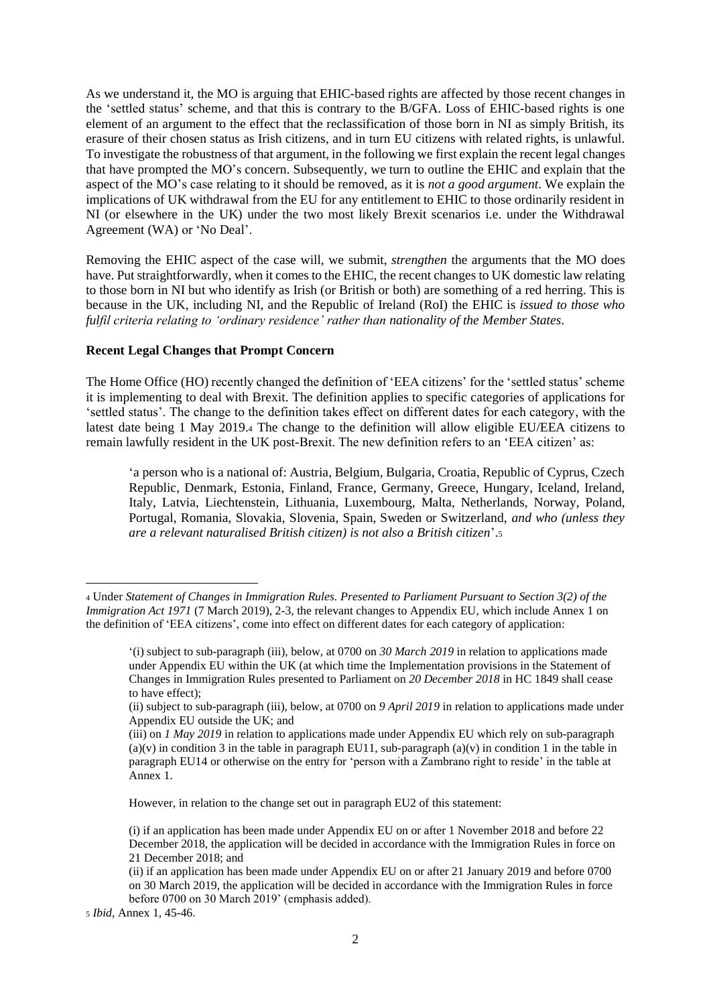As we understand it, the MO is arguing that EHIC-based rights are affected by those recent changes in the 'settled status' scheme, and that this is contrary to the B/GFA. Loss of EHIC-based rights is one element of an argument to the effect that the reclassification of those born in NI as simply British, its erasure of their chosen status as Irish citizens, and in turn EU citizens with related rights, is unlawful. To investigate the robustness of that argument, in the following we first explain the recent legal changes that have prompted the MO's concern. Subsequently, we turn to outline the EHIC and explain that the aspect of the MO's case relating to it should be removed, as it is *not a good argument*. We explain the implications of UK withdrawal from the EU for any entitlement to EHIC to those ordinarily resident in NI (or elsewhere in the UK) under the two most likely Brexit scenarios i.e. under the Withdrawal Agreement (WA) or 'No Deal'.

Removing the EHIC aspect of the case will, we submit, *strengthen* the arguments that the MO does have. Put straightforwardly, when it comes to the EHIC, the recent changes to UK domestic law relating to those born in NI but who identify as Irish (or British or both) are something of a red herring. This is because in the UK, including NI, and the Republic of Ireland (RoI) the EHIC is *issued to those who fulfil criteria relating to 'ordinary residence' rather than nationality of the Member States*.

#### **Recent Legal Changes that Prompt Concern**

The Home Office (HO) recently changed the definition of 'EEA citizens' for the 'settled status' scheme it is implementing to deal with Brexit. The definition applies to specific categories of applications for 'settled status'. The change to the definition takes effect on different dates for each category, with the latest date being 1 May 2019.<sup>4</sup> The change to the definition will allow eligible EU/EEA citizens to remain lawfully resident in the UK post-Brexit. The new definition refers to an 'EEA citizen' as:

'a person who is a national of: Austria, Belgium, Bulgaria, Croatia, Republic of Cyprus, Czech Republic, Denmark, Estonia, Finland, France, Germany, Greece, Hungary, Iceland, Ireland, Italy, Latvia, Liechtenstein, Lithuania, Luxembourg, Malta, Netherlands, Norway, Poland, Portugal, Romania, Slovakia, Slovenia, Spain, Sweden or Switzerland, *and who (unless they are a relevant naturalised British citizen) is not also a British citizen*'.<sup>5</sup>

However, in relation to the change set out in paragraph EU2 of this statement:

<sup>4</sup> Under *Statement of Changes in Immigration Rules. Presented to Parliament Pursuant to Section 3(2) of the Immigration Act 1971* (7 March 2019), 2-3, the relevant changes to Appendix EU, which include Annex 1 on the definition of 'EEA citizens', come into effect on different dates for each category of application:

<sup>&#</sup>x27;(i) subject to sub-paragraph (iii), below, at 0700 on *30 March 2019* in relation to applications made under Appendix EU within the UK (at which time the Implementation provisions in the Statement of Changes in Immigration Rules presented to Parliament on *20 December 2018* in HC 1849 shall cease to have effect);

<sup>(</sup>ii) subject to sub-paragraph (iii), below, at 0700 on *9 April 2019* in relation to applications made under Appendix EU outside the UK; and

<sup>(</sup>iii) on *1 May 2019* in relation to applications made under Appendix EU which rely on sub-paragraph  $(a)(v)$  in condition 3 in the table in paragraph EU11, sub-paragraph  $(a)(v)$  in condition 1 in the table in paragraph EU14 or otherwise on the entry for 'person with a Zambrano right to reside' in the table at Annex 1.

<sup>(</sup>i) if an application has been made under Appendix EU on or after 1 November 2018 and before 22 December 2018, the application will be decided in accordance with the Immigration Rules in force on 21 December 2018; and

<sup>(</sup>ii) if an application has been made under Appendix EU on or after 21 January 2019 and before 0700 on 30 March 2019, the application will be decided in accordance with the Immigration Rules in force before 0700 on 30 March 2019' (emphasis added).

<sup>5</sup> *Ibid,* Annex 1, 45-46.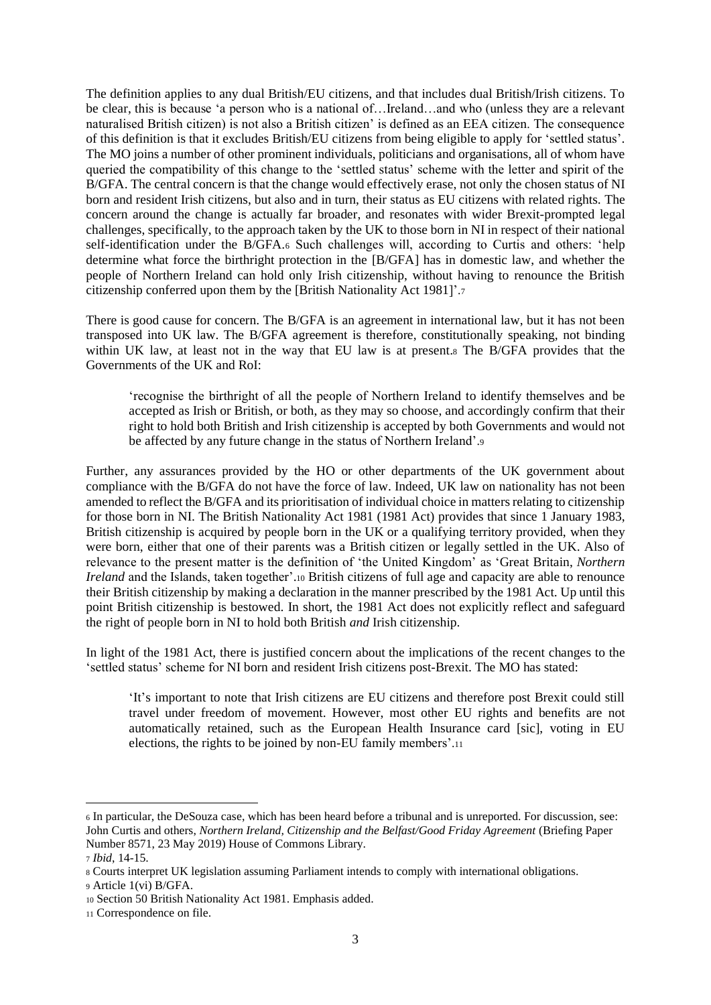The definition applies to any dual British/EU citizens, and that includes dual British/Irish citizens. To be clear, this is because 'a person who is a national of…Ireland…and who (unless they are a relevant naturalised British citizen) is not also a British citizen' is defined as an EEA citizen. The consequence of this definition is that it excludes British/EU citizens from being eligible to apply for 'settled status'. The MO joins a number of other prominent individuals, politicians and organisations, all of whom have queried the compatibility of this change to the 'settled status' scheme with the letter and spirit of the B/GFA. The central concern is that the change would effectively erase, not only the chosen status of NI born and resident Irish citizens, but also and in turn, their status as EU citizens with related rights. The concern around the change is actually far broader, and resonates with wider Brexit-prompted legal challenges, specifically, to the approach taken by the UK to those born in NI in respect of their national self-identification under the B/GFA.<sup>6</sup> Such challenges will, according to Curtis and others: 'help determine what force the birthright protection in the [B/GFA] has in domestic law, and whether the people of Northern Ireland can hold only Irish citizenship, without having to renounce the British citizenship conferred upon them by the [British Nationality Act 1981]'.<sup>7</sup>

There is good cause for concern. The B/GFA is an agreement in international law, but it has not been transposed into UK law. The B/GFA agreement is therefore, constitutionally speaking, not binding within UK law, at least not in the way that EU law is at present.<sup>8</sup> The B/GFA provides that the Governments of the UK and RoI:

'recognise the birthright of all the people of Northern Ireland to identify themselves and be accepted as Irish or British, or both, as they may so choose, and accordingly confirm that their right to hold both British and Irish citizenship is accepted by both Governments and would not be affected by any future change in the status of Northern Ireland'.<sup>9</sup>

Further, any assurances provided by the HO or other departments of the UK government about compliance with the B/GFA do not have the force of law. Indeed, UK law on nationality has not been amended to reflect the B/GFA and its prioritisation of individual choice in matters relating to citizenship for those born in NI. The British Nationality Act 1981 (1981 Act) provides that since 1 January 1983, British citizenship is acquired by people born in the UK or a qualifying territory provided, when they were born, either that one of their parents was a British citizen or legally settled in the UK. Also of relevance to the present matter is the definition of 'the United Kingdom' as 'Great Britain, *Northern Ireland* and the Islands, taken together'.<sup>10</sup> British citizens of full age and capacity are able to renounce their British citizenship by making a declaration in the manner prescribed by the 1981 Act. Up until this point British citizenship is bestowed. In short, the 1981 Act does not explicitly reflect and safeguard the right of people born in NI to hold both British *and* Irish citizenship.

In light of the 1981 Act, there is justified concern about the implications of the recent changes to the 'settled status' scheme for NI born and resident Irish citizens post-Brexit. The MO has stated:

'It's important to note that Irish citizens are EU citizens and therefore post Brexit could still travel under freedom of movement. However, most other EU rights and benefits are not automatically retained, such as the European Health Insurance card [sic], voting in EU elections, the rights to be joined by non-EU family members'.<sup>11</sup>

<sup>6</sup> In particular, the DeSouza case, which has been heard before a tribunal and is unreported. For discussion, see: John Curtis and others, *Northern Ireland, Citizenship and the Belfast/Good Friday Agreement* (Briefing Paper Number 8571, 23 May 2019) House of Commons Library.

<sup>7</sup> *Ibid*, 14-15.

<sup>8</sup> Courts interpret UK legislation assuming Parliament intends to comply with international obligations. <sup>9</sup> Article 1(vi) B/GFA.

<sup>10</sup> Section 50 British Nationality Act 1981. Emphasis added.

<sup>11</sup> Correspondence on file.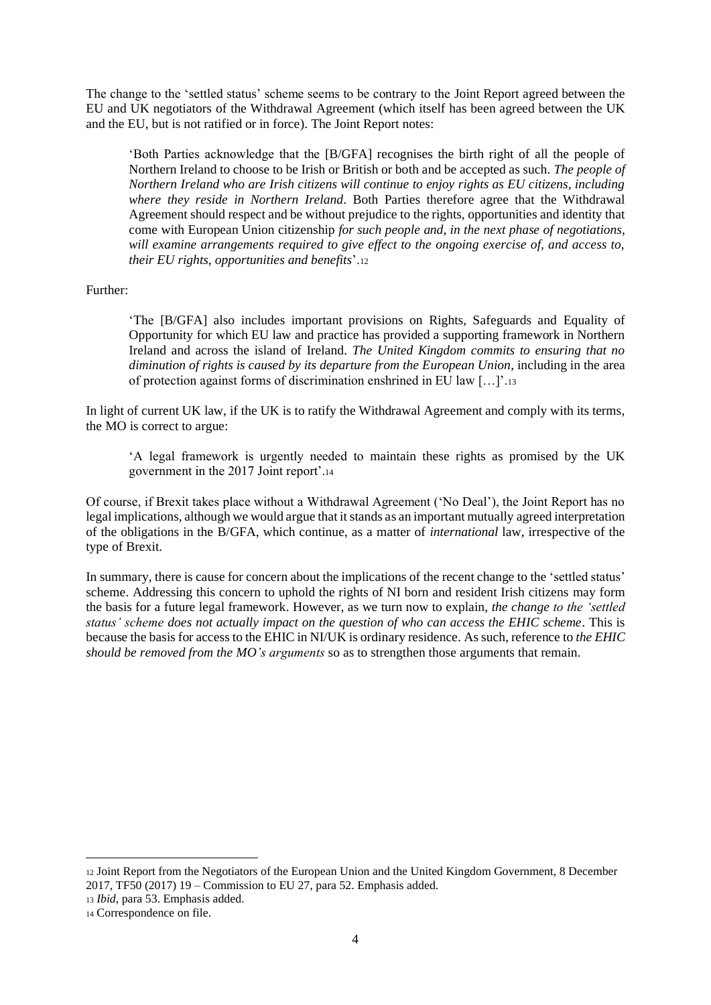The change to the 'settled status' scheme seems to be contrary to the Joint Report agreed between the EU and UK negotiators of the Withdrawal Agreement (which itself has been agreed between the UK and the EU, but is not ratified or in force). The Joint Report notes:

'Both Parties acknowledge that the [B/GFA] recognises the birth right of all the people of Northern Ireland to choose to be Irish or British or both and be accepted as such. *The people of Northern Ireland who are Irish citizens will continue to enjoy rights as EU citizens, including where they reside in Northern Ireland*. Both Parties therefore agree that the Withdrawal Agreement should respect and be without prejudice to the rights, opportunities and identity that come with European Union citizenship *for such people and, in the next phase of negotiations, will examine arrangements required to give effect to the ongoing exercise of, and access to, their EU rights, opportunities and benefits*'.<sup>12</sup>

Further:

'The [B/GFA] also includes important provisions on Rights, Safeguards and Equality of Opportunity for which EU law and practice has provided a supporting framework in Northern Ireland and across the island of Ireland. *The United Kingdom commits to ensuring that no diminution of rights is caused by its departure from the European Union*, including in the area of protection against forms of discrimination enshrined in EU law […]'.<sup>13</sup>

In light of current UK law, if the UK is to ratify the Withdrawal Agreement and comply with its terms, the MO is correct to argue:

'A legal framework is urgently needed to maintain these rights as promised by the UK government in the 2017 Joint report'.<sup>14</sup>

Of course, if Brexit takes place without a Withdrawal Agreement ('No Deal'), the Joint Report has no legal implications, although we would argue that it stands as an important mutually agreed interpretation of the obligations in the B/GFA, which continue, as a matter of *international* law, irrespective of the type of Brexit.

In summary, there is cause for concern about the implications of the recent change to the 'settled status' scheme. Addressing this concern to uphold the rights of NI born and resident Irish citizens may form the basis for a future legal framework. However, as we turn now to explain, *the change to the 'settled status' scheme does not actually impact on the question of who can access the EHIC scheme*. This is because the basis for access to the EHIC in NI/UK is ordinary residence. As such, reference to *the EHIC should be removed from the MO's arguments* so as to strengthen those arguments that remain.

<sup>12</sup> Joint Report from the Negotiators of the European Union and the United Kingdom Government, 8 December 2017, TF50 (2017) 19 – Commission to EU 27, para 52. Emphasis added.

<sup>13</sup> *Ibid*, para 53. Emphasis added.

<sup>14</sup> Correspondence on file.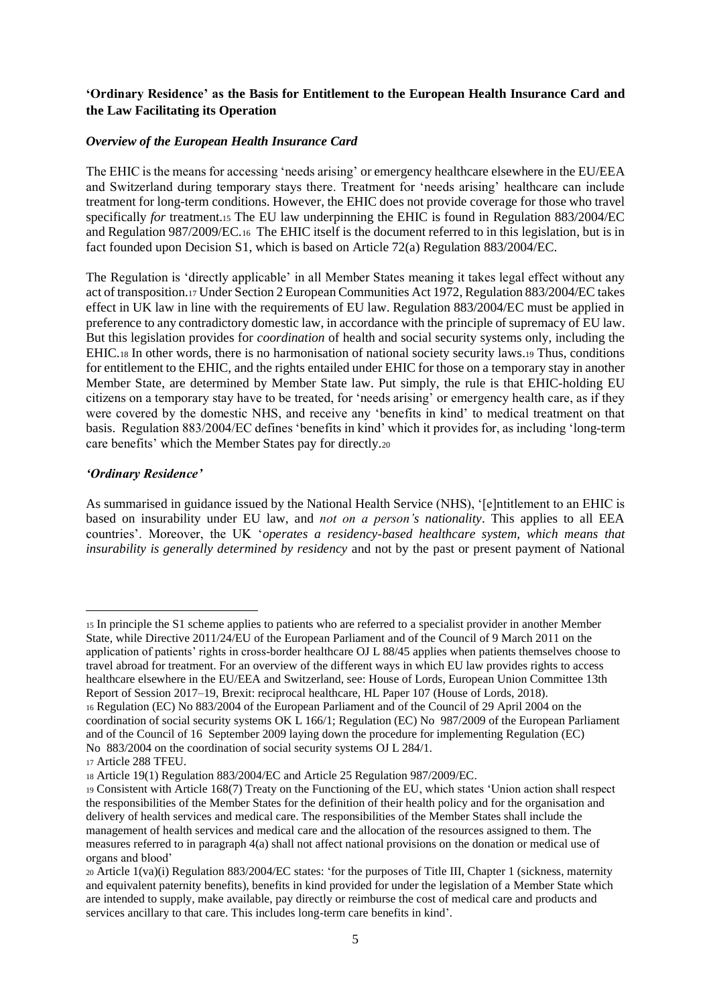# **'Ordinary Residence' as the Basis for Entitlement to the European Health Insurance Card and the Law Facilitating its Operation**

### *Overview of the European Health Insurance Card*

The EHIC is the means for accessing 'needs arising' or emergency healthcare elsewhere in the EU/EEA and Switzerland during temporary stays there. Treatment for 'needs arising' healthcare can include treatment for long-term conditions. However, the EHIC does not provide coverage for those who travel specifically *for* treatment.<sup>15</sup> The EU law underpinning the EHIC is found in Regulation 883/2004/EC and Regulation 987/2009/EC.<sup>16</sup> The EHIC itself is the document referred to in this legislation, but is in fact founded upon Decision S1, which is based on Article 72(a) Regulation 883/2004/EC.

The Regulation is 'directly applicable' in all Member States meaning it takes legal effect without any act of transposition.<sup>17</sup> Under Section 2 European Communities Act 1972, Regulation 883/2004/EC takes effect in UK law in line with the requirements of EU law. Regulation 883/2004/EC must be applied in preference to any contradictory domestic law, in accordance with the principle of supremacy of EU law. But this legislation provides for *coordination* of health and social security systems only, including the EHIC.<sup>18</sup> In other words, there is no harmonisation of national society security laws.<sup>19</sup> Thus, conditions for entitlement to the EHIC, and the rights entailed under EHIC for those on a temporary stay in another Member State, are determined by Member State law. Put simply, the rule is that EHIC-holding EU citizens on a temporary stay have to be treated, for 'needs arising' or emergency health care, as if they were covered by the domestic NHS, and receive any 'benefits in kind' to medical treatment on that basis. Regulation 883/2004/EC defines 'benefits in kind' which it provides for, as including 'long-term care benefits' which the Member States pay for directly.<sup>20</sup>

## *'Ordinary Residence'*

As summarised in guidance issued by the National Health Service (NHS), '[e]ntitlement to an EHIC is based on insurability under EU law, and *not on a person's nationality*. This applies to all EEA countries'. Moreover, the UK '*operates a residency-based healthcare system, which means that insurability is generally determined by residency* and not by the past or present payment of National

<sup>15</sup> In principle the S1 scheme applies to patients who are referred to a specialist provider in another Member State, while Directive 2011/24/EU of the European Parliament and of the Council of 9 March 2011 on the application of patients' rights in cross-border healthcare OJ L 88/45 applies when patients themselves choose to travel abroad for treatment. For an overview of the different ways in which EU law provides rights to access healthcare elsewhere in the EU/EEA and Switzerland, see: House of Lords, European Union Committee 13th Report of Session 2017–19, Brexit: reciprocal healthcare, HL Paper 107 (House of Lords, 2018).

<sup>16</sup> Regulation (EC) No 883/2004 of the European Parliament and of the Council of 29 April 2004 on the coordination of social security systems OK L 166/1; Regulation (EC) No 987/2009 of the European Parliament and of the Council of 16 September 2009 laying down the procedure for implementing Regulation (EC) No 883/2004 on the coordination of social security systems OJ L 284/1.

<sup>17</sup> Article 288 TFEU.

<sup>18</sup> Article 19(1) Regulation 883/2004/EC and Article 25 Regulation 987/2009/EC.

<sup>19</sup> Consistent with Article 168(7) Treaty on the Functioning of the EU, which states 'Union action shall respect the responsibilities of the Member States for the definition of their health policy and for the organisation and delivery of health services and medical care. The responsibilities of the Member States shall include the management of health services and medical care and the allocation of the resources assigned to them. The measures referred to in paragraph 4(a) shall not affect national provisions on the donation or medical use of organs and blood'

<sup>20</sup> Article 1(va)(i) Regulation 883/2004/EC states: 'for the purposes of Title III, Chapter 1 (sickness, maternity and equivalent paternity benefits), benefits in kind provided for under the legislation of a Member State which are intended to supply, make available, pay directly or reimburse the cost of medical care and products and services ancillary to that care. This includes long-term care benefits in kind'.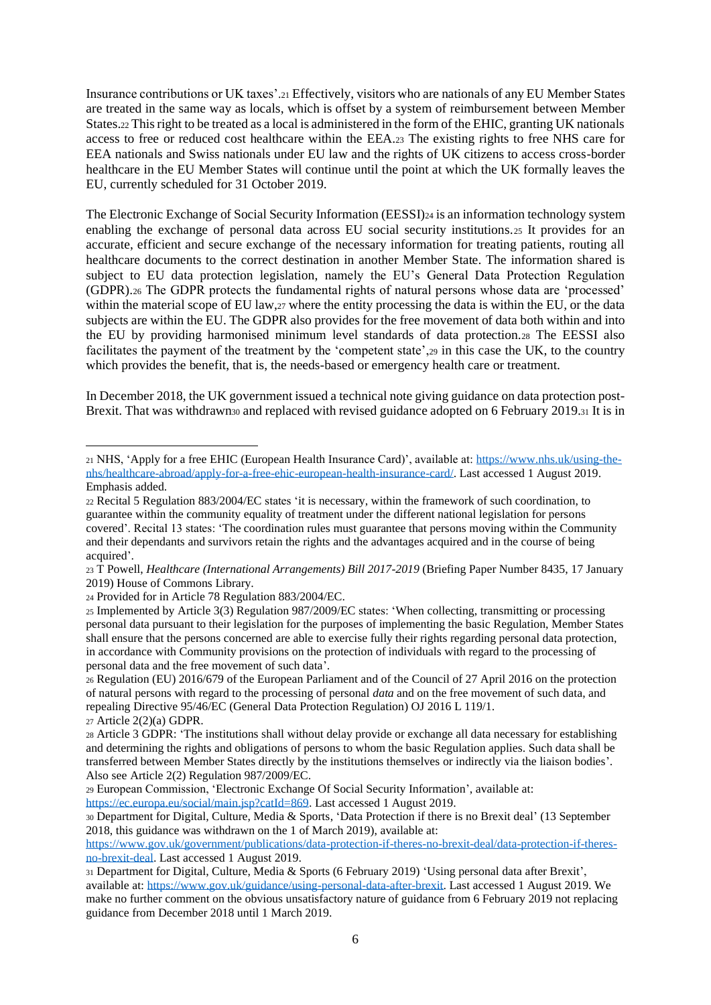Insurance contributions or UK taxes'.<sup>21</sup> Effectively, visitors who are nationals of any EU Member States are treated in the same way as locals, which is offset by a system of reimbursement between Member States.<sup>22</sup> This right to be treated as a local is administered in the form of the EHIC, granting UK nationals access to free or reduced cost healthcare within the EEA.<sup>23</sup> The existing rights to free NHS care for EEA nationals and Swiss nationals under EU law and the rights of UK citizens to access cross-border healthcare in the EU Member States will continue until the point at which the UK formally leaves the EU, currently scheduled for 31 October 2019.

The Electronic Exchange of Social Security Information (EESSI)<sup>24</sup> is an information technology system enabling the exchange of personal data across EU social security institutions.<sup>25</sup> It provides for an accurate, efficient and secure exchange of the necessary information for treating patients, routing all healthcare documents to the correct destination in another Member State. The information shared is subject to EU data protection legislation, namely the EU's General Data Protection Regulation (GDPR).<sup>26</sup> The GDPR protects the fundamental rights of natural persons whose data are 'processed' within the material scope of EU law,  $27$  where the entity processing the data is within the EU, or the data subjects are within the EU. The GDPR also provides for the free movement of data both within and into the EU by providing harmonised minimum level standards of data protection.<sup>28</sup> The EESSI also facilitates the payment of the treatment by the 'competent state',<sup>29</sup> in this case the UK, to the country which provides the benefit, that is, the needs-based or emergency health care or treatment.

In December 2018, the UK government issued a technical note giving guidance on data protection post-Brexit. That was withdrawn<sub>30</sub> and replaced with revised guidance adopted on 6 February 2019.31 It is in

<sup>21</sup> NHS, 'Apply for a free EHIC (European Health Insurance Card)', available at[: https://www.nhs.uk/using-the](https://www.nhs.uk/using-the-nhs/healthcare-abroad/apply-for-a-free-ehic-european-health-insurance-card/)[nhs/healthcare-abroad/apply-for-a-free-ehic-european-health-insurance-card/.](https://www.nhs.uk/using-the-nhs/healthcare-abroad/apply-for-a-free-ehic-european-health-insurance-card/) Last accessed 1 August 2019. Emphasis added.

<sup>22</sup> Recital 5 Regulation 883/2004/EC states 'it is necessary, within the framework of such coordination, to guarantee within the community equality of treatment under the different national legislation for persons covered'. Recital 13 states: 'The coordination rules must guarantee that persons moving within the Community and their dependants and survivors retain the rights and the advantages acquired and in the course of being acquired'.

<sup>23</sup> T Powell, *Healthcare (International Arrangements) Bill 2017-2019* (Briefing Paper Number 8435, 17 January 2019) House of Commons Library.

<sup>24</sup> Provided for in Article 78 Regulation 883/2004/EC.

<sup>25</sup> Implemented by Article 3(3) Regulation 987/2009/EC states: 'When collecting, transmitting or processing personal data pursuant to their legislation for the purposes of implementing the basic Regulation, Member States shall ensure that the persons concerned are able to exercise fully their rights regarding personal data protection, in accordance with Community provisions on the protection of individuals with regard to the processing of personal data and the free movement of such data'.

<sup>26</sup> Regulation (EU) 2016/679 of the European Parliament and of the Council of 27 April 2016 on the protection of natural persons with regard to the processing of personal *data* and on the free movement of such data, and repealing Directive 95/46/EC (General Data Protection Regulation) OJ 2016 L 119/1. <sup>27</sup> Article 2(2)(a) GDPR.

<sup>28</sup> Article 3 GDPR: 'The institutions shall without delay provide or exchange all data necessary for establishing and determining the rights and obligations of persons to whom the basic Regulation applies. Such data shall be transferred between Member States directly by the institutions themselves or indirectly via the liaison bodies'. Also see Article 2(2) Regulation 987/2009/EC.

<sup>29</sup> European Commission, 'Electronic Exchange Of Social Security Information', available at: https://ec.europa.eu/social/main.jsp?catId=869. Last accessed 1 August 2019.

<sup>30</sup> Department for Digital, Culture, Media & Sports, 'Data Protection if there is no Brexit deal' (13 September 2018, this guidance was withdrawn on the 1 of March 2019), available at:

[https://www.gov.uk/government/publications/data-protection-if-theres-no-brexit-deal/data-protection-if-theres](https://www.gov.uk/government/publications/data-protection-if-theres-no-brexit-deal/data-protection-if-theres-no-brexit-deal)[no-brexit-deal.](https://www.gov.uk/government/publications/data-protection-if-theres-no-brexit-deal/data-protection-if-theres-no-brexit-deal) Last accessed 1 August 2019.

<sup>31</sup> Department for Digital, Culture, Media & Sports (6 February 2019) 'Using personal data after Brexit', available at: https://www.gov.uk/guidance/using-personal-data-after-brexit. Last accessed 1 August 2019. We make no further comment on the obvious unsatisfactory nature of guidance from 6 February 2019 not replacing guidance from December 2018 until 1 March 2019.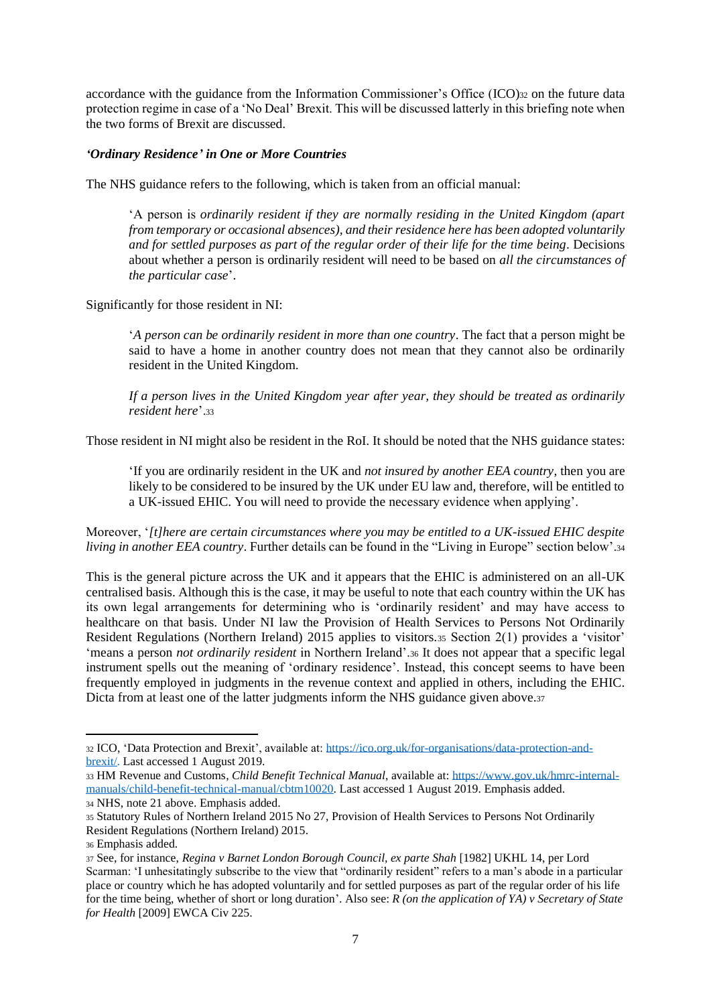accordance with the guidance from the Information Commissioner's Office (ICO)<sub>32</sub> on the future data protection regime in case of a 'No Deal' Brexit. This will be discussed latterly in this briefing note when the two forms of Brexit are discussed.

### *'Ordinary Residence' in One or More Countries*

The NHS guidance refers to the following, which is taken from an official manual:

'A person is *ordinarily resident if they are normally residing in the United Kingdom (apart from temporary or occasional absences), and their residence here has been adopted voluntarily and for settled purposes as part of the regular order of their life for the time being*. Decisions about whether a person is ordinarily resident will need to be based on *all the circumstances of the particular case*'.

Significantly for those resident in NI:

'*A person can be ordinarily resident in more than one country*. The fact that a person might be said to have a home in another country does not mean that they cannot also be ordinarily resident in the United Kingdom.

*If a person lives in the United Kingdom year after year, they should be treated as ordinarily resident here*'.<sup>33</sup>

Those resident in NI might also be resident in the RoI. It should be noted that the NHS guidance states:

'If you are ordinarily resident in the UK and *not insured by another EEA country*, then you are likely to be considered to be insured by the UK under EU law and, therefore, will be entitled to a UK-issued EHIC. You will need to provide the necessary evidence when applying'.

Moreover, '*[t]here are certain circumstances where you may be entitled to a UK-issued EHIC despite living in another EEA country*. Further details can be found in the "Living in Europe" section below'.<sup>34</sup>

This is the general picture across the UK and it appears that the EHIC is administered on an all-UK centralised basis. Although this is the case, it may be useful to note that each country within the UK has its own legal arrangements for determining who is 'ordinarily resident' and may have access to healthcare on that basis. Under NI law the Provision of Health Services to Persons Not Ordinarily Resident Regulations (Northern Ireland) 2015 applies to visitors.<sup>35</sup> Section 2(1) provides a 'visitor' 'means a person *not ordinarily resident* in Northern Ireland'.<sup>36</sup> It does not appear that a specific legal instrument spells out the meaning of 'ordinary residence'. Instead, this concept seems to have been frequently employed in judgments in the revenue context and applied in others, including the EHIC. Dicta from at least one of the latter judgments inform the NHS guidance given above.<sup>37</sup>

<sup>32</sup> ICO, 'Data Protection and Brexit', available at: [https://ico.org.uk/for-organisations/data-protection-and](https://ico.org.uk/for-organisations/data-protection-and-brexit/)[brexit/.](https://ico.org.uk/for-organisations/data-protection-and-brexit/) Last accessed 1 August 2019.

<sup>33</sup> HM Revenue and Customs, *Child Benefit Technical Manual*, available at[: https://www.gov.uk/hmrc-internal](https://www.gov.uk/hmrc-internal-manuals/child-benefit-technical-manual/cbtm10020)[manuals/child-benefit-technical-manual/cbtm10020.](https://www.gov.uk/hmrc-internal-manuals/child-benefit-technical-manual/cbtm10020) Last accessed 1 August 2019. Emphasis added.

<sup>34</sup> NHS, note 21 above. Emphasis added.

<sup>35</sup> Statutory Rules of Northern Ireland 2015 No 27, Provision of Health Services to Persons Not Ordinarily Resident Regulations (Northern Ireland) 2015.

<sup>36</sup> Emphasis added.

<sup>37</sup> See, for instance, *Regina v Barnet London Borough Council, ex parte Shah* [1982] UKHL 14, per Lord Scarman: 'I unhesitatingly subscribe to the view that "ordinarily resident" refers to a man's abode in a particular place or country which he has adopted voluntarily and for settled purposes as part of the regular order of his life for the time being, whether of short or long duration'. Also see: *R (on the application of YA) v Secretary of State for Health* [2009] EWCA Civ 225.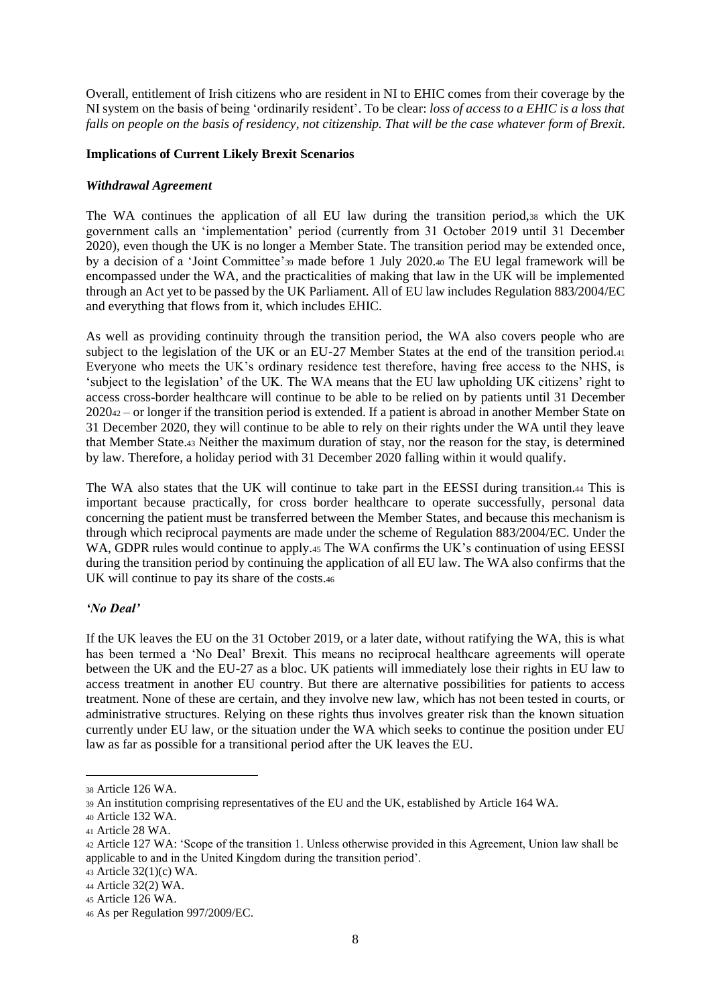Overall, entitlement of Irish citizens who are resident in NI to EHIC comes from their coverage by the NI system on the basis of being 'ordinarily resident'. To be clear: *loss of access to a EHIC is a loss that falls on people on the basis of residency, not citizenship. That will be the case whatever form of Brexit*.

### **Implications of Current Likely Brexit Scenarios**

#### *Withdrawal Agreement*

The WA continues the application of all EU law during the transition period,<sup>38</sup> which the UK government calls an 'implementation' period (currently from 31 October 2019 until 31 December 2020), even though the UK is no longer a Member State. The transition period may be extended once, by a decision of a 'Joint Committee'<sup>39</sup> made before 1 July 2020.<sup>40</sup> The EU legal framework will be encompassed under the WA, and the practicalities of making that law in the UK will be implemented through an Act yet to be passed by the UK Parliament. All of EU law includes Regulation 883/2004/EC and everything that flows from it, which includes EHIC.

As well as providing continuity through the transition period, the WA also covers people who are subject to the legislation of the UK or an EU-27 Member States at the end of the transition period.<sub>41</sub> Everyone who meets the UK's ordinary residence test therefore, having free access to the NHS, is 'subject to the legislation' of the UK. The WA means that the EU law upholding UK citizens' right to access cross-border healthcare will continue to be able to be relied on by patients until 31 December 2020<sup>42</sup> – or longer if the transition period is extended. If a patient is abroad in another Member State on 31 December 2020, they will continue to be able to rely on their rights under the WA until they leave that Member State.<sup>43</sup> Neither the maximum duration of stay, nor the reason for the stay, is determined by law. Therefore, a holiday period with 31 December 2020 falling within it would qualify.

The WA also states that the UK will continue to take part in the EESSI during transition.<sup>44</sup> This is important because practically, for cross border healthcare to operate successfully, personal data concerning the patient must be transferred between the Member States, and because this mechanism is through which reciprocal payments are made under the scheme of Regulation 883/2004/EC. Under the WA, GDPR rules would continue to apply.45 The WA confirms the UK's continuation of using EESSI during the transition period by continuing the application of all EU law. The WA also confirms that the UK will continue to pay its share of the costs.<sup>46</sup>

## *'No Deal'*

If the UK leaves the EU on the 31 October 2019, or a later date, without ratifying the WA, this is what has been termed a 'No Deal' Brexit. This means no reciprocal healthcare agreements will operate between the UK and the EU-27 as a bloc. UK patients will immediately lose their rights in EU law to access treatment in another EU country. But there are alternative possibilities for patients to access treatment. None of these are certain, and they involve new law, which has not been tested in courts, or administrative structures. Relying on these rights thus involves greater risk than the known situation currently under EU law, or the situation under the WA which seeks to continue the position under EU law as far as possible for a transitional period after the UK leaves the EU.

<sup>38</sup> Article 126 WA.

<sup>39</sup> An institution comprising representatives of the EU and the UK, established by Article 164 WA.

<sup>40</sup> Article 132 WA.

<sup>41</sup> Article 28 WA.

<sup>42</sup> Article 127 WA: 'Scope of the transition 1. Unless otherwise provided in this Agreement, Union law shall be applicable to and in the United Kingdom during the transition period'.

<sup>43</sup> Article 32(1)(c) WA.

<sup>44</sup> Article 32(2) WA.

<sup>45</sup> Article 126 WA.

<sup>46</sup> As per Regulation 997/2009/EC.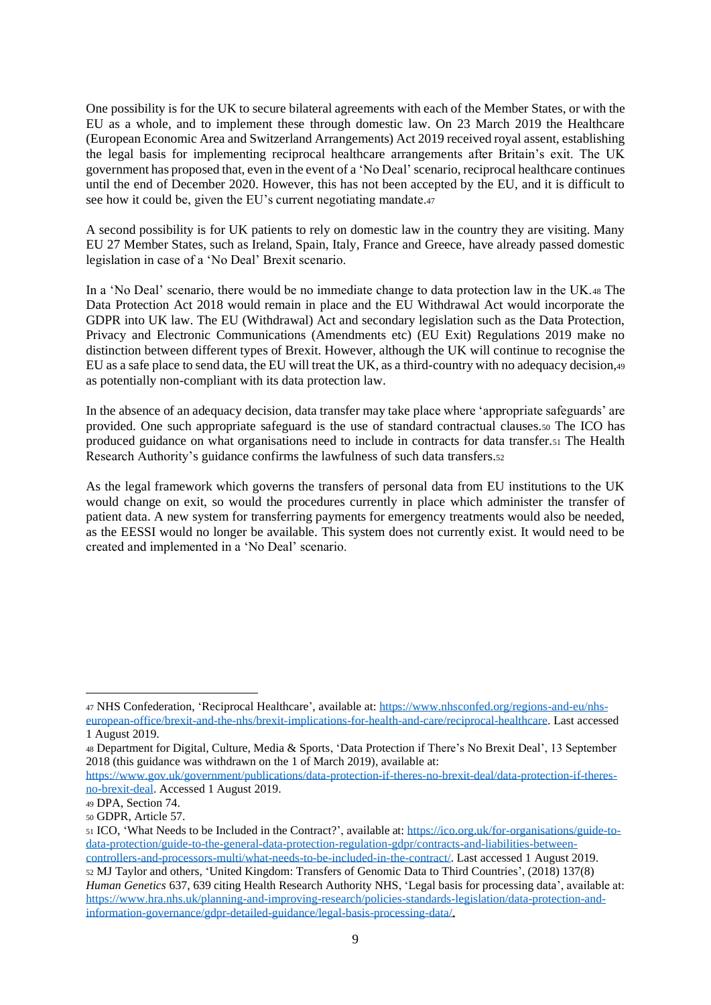One possibility is for the UK to secure bilateral agreements with each of the Member States, or with the EU as a whole, and to implement these through domestic law. On 23 March 2019 the Healthcare (European Economic Area and Switzerland Arrangements) Act 2019 received royal assent, establishing the legal basis for implementing reciprocal healthcare arrangements after Britain's exit. The UK government has proposed that, even in the event of a 'No Deal' scenario, reciprocal healthcare continues until the end of December 2020. However, this has not been accepted by the EU, and it is difficult to see how it could be, given the EU's current negotiating mandate.<sup>47</sup>

A second possibility is for UK patients to rely on domestic law in the country they are visiting. Many EU 27 Member States, such as Ireland, Spain, Italy, France and Greece, have already passed domestic legislation in case of a 'No Deal' Brexit scenario.

In a 'No Deal' scenario, there would be no immediate change to data protection law in the UK.<sup>48</sup> The Data Protection Act 2018 would remain in place and the EU Withdrawal Act would incorporate the GDPR into UK law. The EU (Withdrawal) Act and secondary legislation such as the Data Protection, Privacy and Electronic Communications (Amendments etc) (EU Exit) Regulations 2019 make no distinction between different types of Brexit. However, although the UK will continue to recognise the EU as a safe place to send data, the EU will treat the UK, as a third-country with no adequacy decision,<sup>49</sup> as potentially non-compliant with its data protection law.

In the absence of an adequacy decision, data transfer may take place where 'appropriate safeguards' are provided. One such appropriate safeguard is the use of standard contractual clauses.<sup>50</sup> The ICO has produced guidance on what organisations need to include in contracts for data transfer.<sup>51</sup> The Health Research Authority's guidance confirms the lawfulness of such data transfers.<sup>52</sup>

As the legal framework which governs the transfers of personal data from EU institutions to the UK would change on exit, so would the procedures currently in place which administer the transfer of patient data. A new system for transferring payments for emergency treatments would also be needed, as the EESSI would no longer be available. This system does not currently exist. It would need to be created and implemented in a 'No Deal' scenario.

<sup>47</sup> NHS Confederation, 'Reciprocal Healthcare', available at[: https://www.nhsconfed.org/regions-and-eu/nhs](https://www.nhsconfed.org/regions-and-eu/nhs-european-office/brexit-and-the-nhs/brexit-implications-for-health-and-care/reciprocal-healthcare)[european-office/brexit-and-the-nhs/brexit-implications-for-health-and-care/reciprocal-healthcare.](https://www.nhsconfed.org/regions-and-eu/nhs-european-office/brexit-and-the-nhs/brexit-implications-for-health-and-care/reciprocal-healthcare) Last accessed 1 August 2019.

<sup>48</sup> Department for Digital, Culture, Media & Sports, 'Data Protection if There's No Brexit Deal', 13 September 2018 (this guidance was withdrawn on the 1 of March 2019)*,* available at:

[https://www.gov.uk/government/publications/data-protection-if-theres-no-brexit-deal/data-protection-if-theres](https://www.gov.uk/government/publications/data-protection-if-theres-no-brexit-deal/data-protection-if-theres-no-brexit-deal)[no-brexit-deal.](https://www.gov.uk/government/publications/data-protection-if-theres-no-brexit-deal/data-protection-if-theres-no-brexit-deal) Accessed 1 August 2019.

<sup>49</sup> DPA, Section 74.

<sup>50</sup> GDPR, Article 57.

<sup>51</sup> ICO, 'What Needs to be Included in the Contract?', available at: [https://ico.org.uk/for-organisations/guide-to](https://ico.org.uk/for-organisations/guide-to-data-protection/guide-to-the-general-data-protection-regulation-gdpr/contracts-and-liabilities-between-controllers-and-processors-multi/what-needs-to-be-included-in-the-contract/)[data-protection/guide-to-the-general-data-protection-regulation-gdpr/contracts-and-liabilities-between-](https://ico.org.uk/for-organisations/guide-to-data-protection/guide-to-the-general-data-protection-regulation-gdpr/contracts-and-liabilities-between-controllers-and-processors-multi/what-needs-to-be-included-in-the-contract/)

[controllers-and-processors-multi/what-needs-to-be-included-in-the-contract/.](https://ico.org.uk/for-organisations/guide-to-data-protection/guide-to-the-general-data-protection-regulation-gdpr/contracts-and-liabilities-between-controllers-and-processors-multi/what-needs-to-be-included-in-the-contract/) Last accessed 1 August 2019. <sup>52</sup> MJ Taylor and others, 'United Kingdom: Transfers of Genomic Data to Third Countries', (2018) 137(8) *Human Genetics* 637, 639 citing Health Research Authority NHS, 'Legal basis for processing data', available at: https://www.hra.nhs.uk/planning-and-improving-research/policies-standards-legislation/data-protection-andinformation-governance/gdpr-detailed-guidance/legal-basis-processing-data/.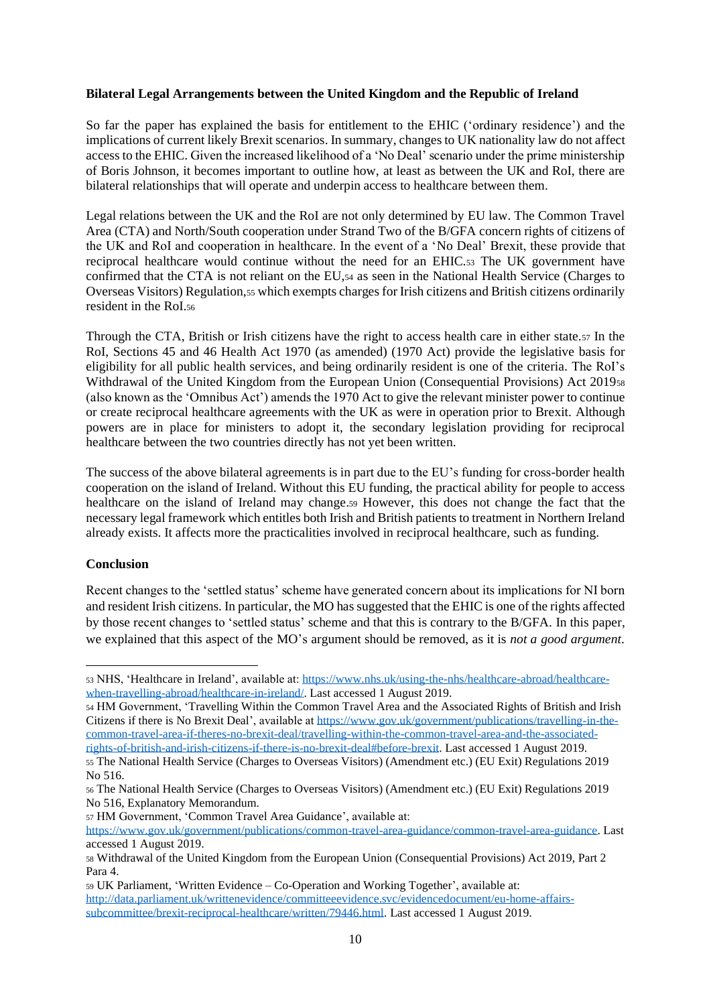### **Bilateral Legal Arrangements between the United Kingdom and the Republic of Ireland**

So far the paper has explained the basis for entitlement to the EHIC ('ordinary residence') and the implications of current likely Brexit scenarios. In summary, changes to UK nationality law do not affect access to the EHIC. Given the increased likelihood of a 'No Deal' scenario under the prime ministership of Boris Johnson, it becomes important to outline how, at least as between the UK and RoI, there are bilateral relationships that will operate and underpin access to healthcare between them.

Legal relations between the UK and the RoI are not only determined by EU law. The Common Travel Area (CTA) and North/South cooperation under Strand Two of the B/GFA concern rights of citizens of the UK and RoI and cooperation in healthcare. In the event of a 'No Deal' Brexit, these provide that reciprocal healthcare would continue without the need for an EHIC.<sup>53</sup> The UK government have confirmed that the CTA is not reliant on the EU,<sup>54</sup> as seen in the National Health Service (Charges to Overseas Visitors) Regulation,<sup>55</sup> which exempts charges for Irish citizens and British citizens ordinarily resident in the RoI.<sup>56</sup>

Through the CTA, British or Irish citizens have the right to access health care in either state.<sup>57</sup> In the RoI, Sections 45 and 46 Health Act 1970 (as amended) (1970 Act) provide the legislative basis for eligibility for all public health services, and being ordinarily resident is one of the criteria. The RoI's Withdrawal of the United Kingdom from the European Union (Consequential Provisions) Act 2019<sup>58</sup> (also known as the 'Omnibus Act') amends the 1970 Act to give the relevant minister power to continue or create reciprocal healthcare agreements with the UK as were in operation prior to Brexit. Although powers are in place for ministers to adopt it, the secondary legislation providing for reciprocal healthcare between the two countries directly has not yet been written.

The success of the above bilateral agreements is in part due to the EU's funding for cross-border health cooperation on the island of Ireland. Without this EU funding, the practical ability for people to access healthcare on the island of Ireland may change.<sup>59</sup> However, this does not change the fact that the necessary legal framework which entitles both Irish and British patients to treatment in Northern Ireland already exists. It affects more the practicalities involved in reciprocal healthcare, such as funding.

### **Conclusion**

Recent changes to the 'settled status' scheme have generated concern about its implications for NI born and resident Irish citizens. In particular, the MO has suggested that the EHIC is one of the rights affected by those recent changes to 'settled status' scheme and that this is contrary to the B/GFA. In this paper, we explained that this aspect of the MO's argument should be removed, as it is *not a good argument*.

<sup>54</sup> HM Government, 'Travelling Within the Common Travel Area and the Associated Rights of British and Irish Citizens if there is No Brexit Deal', available a[t https://www.gov.uk/government/publications/travelling-in-the](https://www.gov.uk/government/publications/travelling-in-the-common-travel-area-if-theres-no-brexit-deal/travelling-within-the-common-travel-area-and-the-associated-rights-of-british-and-irish-citizens-if-there-is-no-brexit-deal#before-brexit)[common-travel-area-if-theres-no-brexit-deal/travelling-within-the-common-travel-area-and-the-associated](https://www.gov.uk/government/publications/travelling-in-the-common-travel-area-if-theres-no-brexit-deal/travelling-within-the-common-travel-area-and-the-associated-rights-of-british-and-irish-citizens-if-there-is-no-brexit-deal#before-brexit)[rights-of-british-and-irish-citizens-if-there-is-no-brexit-deal#before-brexit.](https://www.gov.uk/government/publications/travelling-in-the-common-travel-area-if-theres-no-brexit-deal/travelling-within-the-common-travel-area-and-the-associated-rights-of-british-and-irish-citizens-if-there-is-no-brexit-deal#before-brexit) Last accessed 1 August 2019.

<sup>57</sup> HM Government, 'Common Travel Area Guidance', available at:

<sup>53</sup> NHS, 'Healthcare in Ireland', available at: [https://www.nhs.uk/using-the-nhs/healthcare-abroad/healthcare](https://www.nhs.uk/using-the-nhs/healthcare-abroad/healthcare-when-travelling-abroad/healthcare-in-ireland/)[when-travelling-abroad/healthcare-in-ireland/.](https://www.nhs.uk/using-the-nhs/healthcare-abroad/healthcare-when-travelling-abroad/healthcare-in-ireland/) Last accessed 1 August 2019.

<sup>55</sup> The National Health Service (Charges to Overseas Visitors) (Amendment etc.) (EU Exit) Regulations 2019 No 516.

<sup>56</sup> The National Health Service (Charges to Overseas Visitors) (Amendment etc.) (EU Exit) Regulations 2019 No 516, Explanatory Memorandum.

[https://www.gov.uk/government/publications/common-travel-area-guidance/common-travel-area-guidance.](https://www.gov.uk/government/publications/common-travel-area-guidance/common-travel-area-guidance) Last accessed 1 August 2019.

<sup>58</sup> Withdrawal of the United Kingdom from the European Union (Consequential Provisions) Act 2019, Part 2 Para 4.

<sup>59</sup> UK Parliament, 'Written Evidence – Co-Operation and Working Together', available at: [http://data.parliament.uk/writtenevidence/committeeevidence.svc/evidencedocument/eu-home-affairs](http://data.parliament.uk/writtenevidence/committeeevidence.svc/evidencedocument/eu-home-affairs-subcommittee/brexit-reciprocal-healthcare/written/79446.html)[subcommittee/brexit-reciprocal-healthcare/written/79446.html.](http://data.parliament.uk/writtenevidence/committeeevidence.svc/evidencedocument/eu-home-affairs-subcommittee/brexit-reciprocal-healthcare/written/79446.html) Last accessed 1 August 2019.